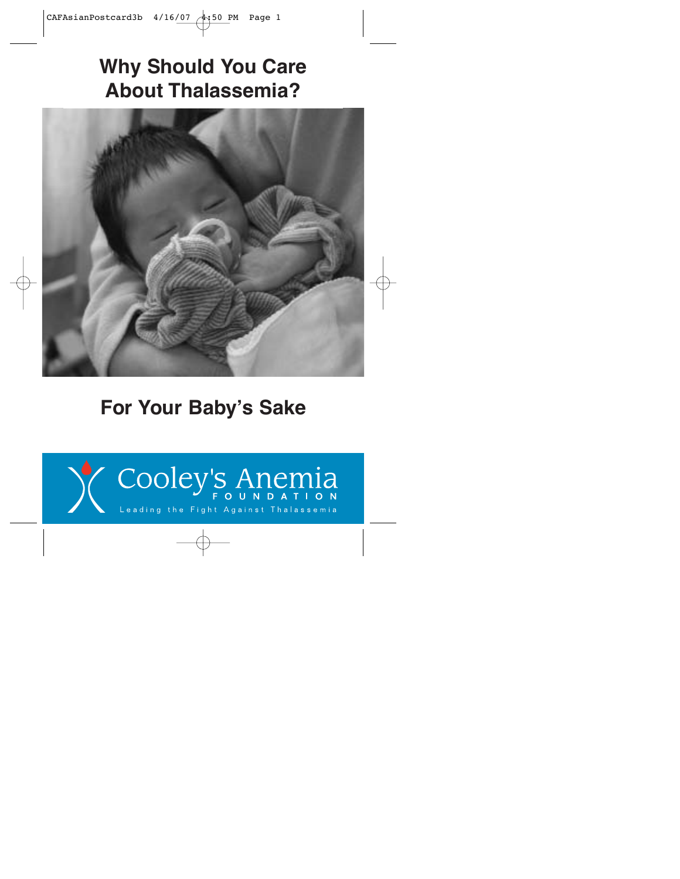# **Why Should You Care About Thalassemia?**



# **For Your Baby's Sake**